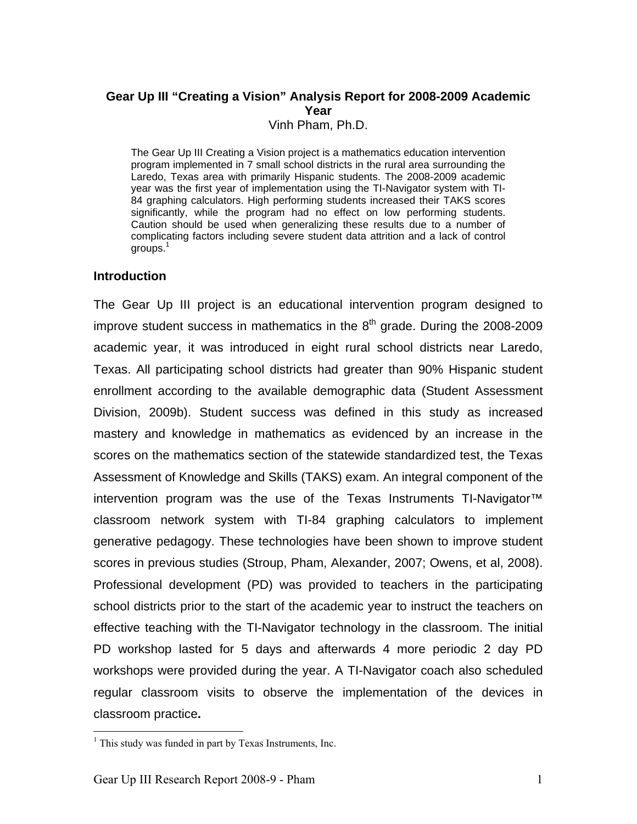# **Gear Up III "Creating a Vision" Analysis Report for 2008-2009 Academic Year**

Vinh Pham, Ph.D.

The Gear Up III Creating a Vision project is a mathematics education intervention program implemented in 7 small school districts in the rural area surrounding the Laredo, Texas area with primarily Hispanic students. The 2008-2009 academic year was the first year of implementation using the TI-Navigator system with TI-84 graphing calculators. High performing students increased their TAKS scores significantly, while the program had no effect on low performing students. Caution should be used when generalizing these results due to a number of complicating factors including severe student data attrition and a lack of control groups.1

## **Introduction**

The Gear Up III project is an educational intervention program designed to improve student success in mathematics in the  $8<sup>th</sup>$  grade. During the 2008-2009 academic year, it was introduced in eight rural school districts near Laredo, Texas. All participating school districts had greater than 90% Hispanic student enrollment according to the available demographic data (Student Assessment Division, 2009b). Student success was defined in this study as increased mastery and knowledge in mathematics as evidenced by an increase in the scores on the mathematics section of the statewide standardized test, the Texas Assessment of Knowledge and Skills (TAKS) exam. An integral component of the intervention program was the use of the Texas Instruments TI-Navigator™ classroom network system with TI-84 graphing calculators to implement generative pedagogy. These technologies have been shown to improve student scores in previous studies (Stroup, Pham, Alexander, 2007; Owens, et al, 2008). Professional development (PD) was provided to teachers in the participating school districts prior to the start of the academic year to instruct the teachers on effective teaching with the TI-Navigator technology in the classroom. The initial PD workshop lasted for 5 days and afterwards 4 more periodic 2 day PD workshops were provided during the year. A TI-Navigator coach also scheduled regular classroom visits to observe the implementation of the devices in classroom practice**.**

 $\overline{a}$ 

<sup>&</sup>lt;sup>1</sup> This study was funded in part by Texas Instruments, Inc.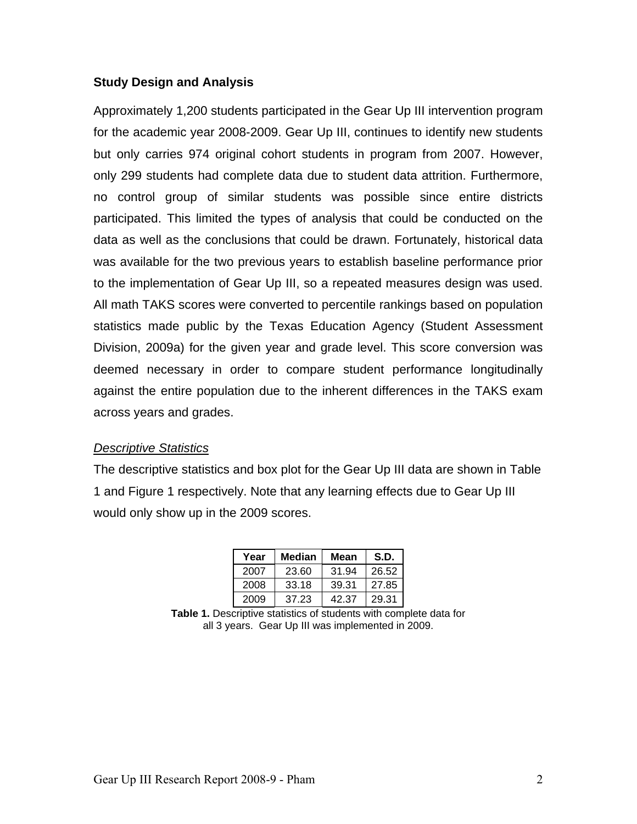## **Study Design and Analysis**

Approximately 1,200 students participated in the Gear Up III intervention program for the academic year 2008-2009. Gear Up III, continues to identify new students but only carries 974 original cohort students in program from 2007. However, only 299 students had complete data due to student data attrition. Furthermore, no control group of similar students was possible since entire districts participated. This limited the types of analysis that could be conducted on the data as well as the conclusions that could be drawn. Fortunately, historical data was available for the two previous years to establish baseline performance prior to the implementation of Gear Up III, so a repeated measures design was used. All math TAKS scores were converted to percentile rankings based on population statistics made public by the Texas Education Agency (Student Assessment Division, 2009a) for the given year and grade level. This score conversion was deemed necessary in order to compare student performance longitudinally against the entire population due to the inherent differences in the TAKS exam across years and grades.

## *Descriptive Statistics*

The descriptive statistics and box plot for the Gear Up III data are shown in Table 1 and Figure 1 respectively. Note that any learning effects due to Gear Up III would only show up in the 2009 scores.

| Year | Median | Mean  | S.D.  |
|------|--------|-------|-------|
| 2007 | 23.60  | 31.94 | 26.52 |
| 2008 | 33.18  | 39.31 | 27.85 |
| 2009 | 37.23  | 42.37 | 29.31 |

**Table 1.** Descriptive statistics of students with complete data for all 3 years. Gear Up III was implemented in 2009.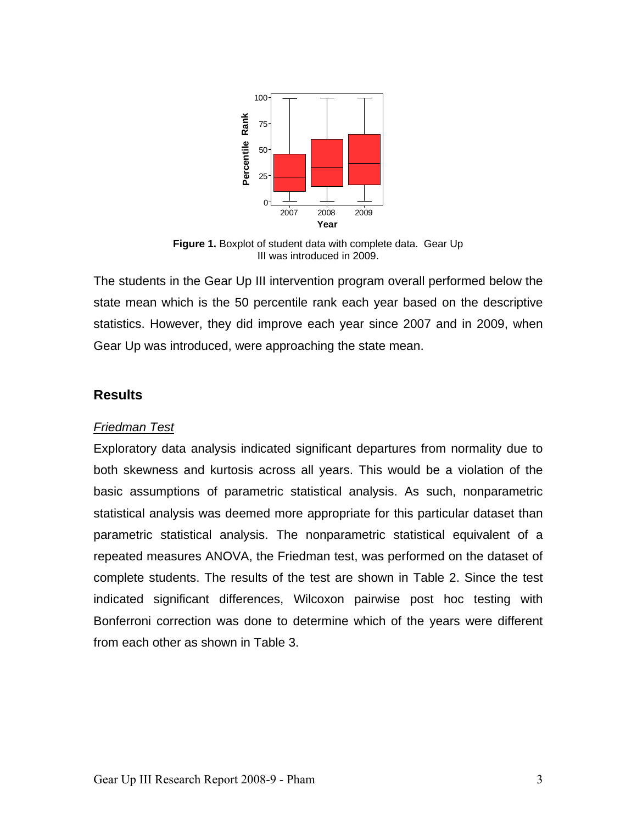

**Figure 1.** Boxplot of student data with complete data. Gear Up III was introduced in 2009.

The students in the Gear Up III intervention program overall performed below the state mean which is the 50 percentile rank each year based on the descriptive statistics. However, they did improve each year since 2007 and in 2009, when Gear Up was introduced, were approaching the state mean.

## **Results**

#### *Friedman Test*

Exploratory data analysis indicated significant departures from normality due to both skewness and kurtosis across all years. This would be a violation of the basic assumptions of parametric statistical analysis. As such, nonparametric statistical analysis was deemed more appropriate for this particular dataset than parametric statistical analysis. The nonparametric statistical equivalent of a repeated measures ANOVA, the Friedman test, was performed on the dataset of complete students. The results of the test are shown in Table 2. Since the test indicated significant differences, Wilcoxon pairwise post hoc testing with Bonferroni correction was done to determine which of the years were different from each other as shown in Table 3.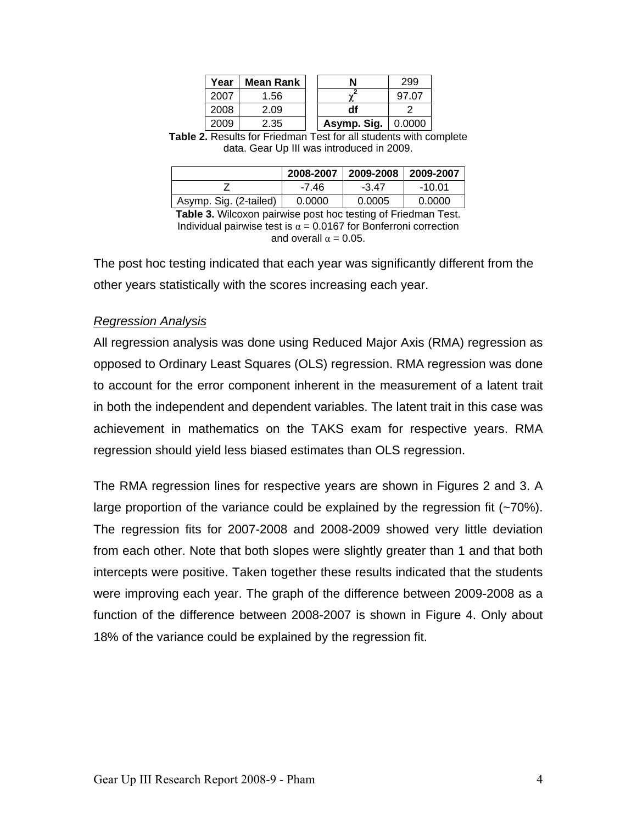| Year | Mean Rank |             | 299    |
|------|-----------|-------------|--------|
| 2007 | 1.56      |             | 97.07  |
| 2008 | 2.09      | df          |        |
| 2009 | 2.35      | Asymp. Sig. | 0.0000 |

**Table 2.** Results for Friedman Test for all students with complete data. Gear Up III was introduced in 2009.

|                        | 2008-2007 | 2009-2008 2009-2007 |        |
|------------------------|-----------|---------------------|--------|
|                        | -7.46     | -347                | -10.01 |
| Asymp. Sig. (2-tailed) | 0.0000    | 0.0005              | 0.0000 |

**Table 3.** Wilcoxon pairwise post hoc testing of Friedman Test. Individual pairwise test is  $\alpha = 0.0167$  for Bonferroni correction and overall  $\alpha = 0.05$ .

The post hoc testing indicated that each year was significantly different from the other years statistically with the scores increasing each year.

## *Regression Analysis*

All regression analysis was done using Reduced Major Axis (RMA) regression as opposed to Ordinary Least Squares (OLS) regression. RMA regression was done to account for the error component inherent in the measurement of a latent trait in both the independent and dependent variables. The latent trait in this case was achievement in mathematics on the TAKS exam for respective years. RMA regression should yield less biased estimates than OLS regression.

The RMA regression lines for respective years are shown in Figures 2 and 3. A large proportion of the variance could be explained by the regression fit (~70%). The regression fits for 2007-2008 and 2008-2009 showed very little deviation from each other. Note that both slopes were slightly greater than 1 and that both intercepts were positive. Taken together these results indicated that the students were improving each year. The graph of the difference between 2009-2008 as a function of the difference between 2008-2007 is shown in Figure 4. Only about 18% of the variance could be explained by the regression fit.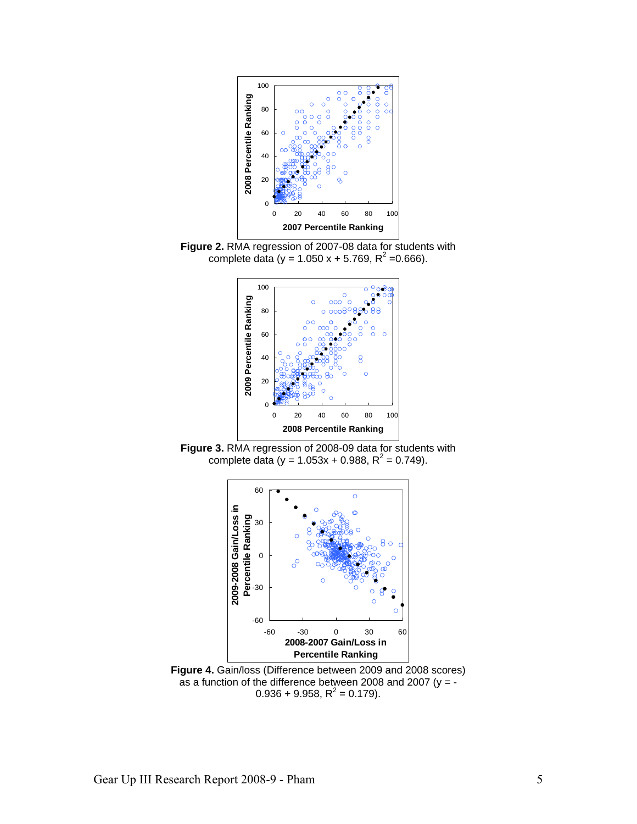

**Figure 2.** RMA regression of 2007-08 data for students with complete data (y = 1.050 x + 5.769,  $R^2$  =0.666).



**Figure 3.** RMA regression of 2008-09 data for students with complete data (y = 1.053x + 0.988,  $R^2$  = 0.749).



**Figure 4.** Gain/loss (Difference between 2009 and 2008 scores) as a function of the difference between 2008 and 2007 (y = -  $0.936 + 9.958$ , R<sup>2</sup> = 0.179).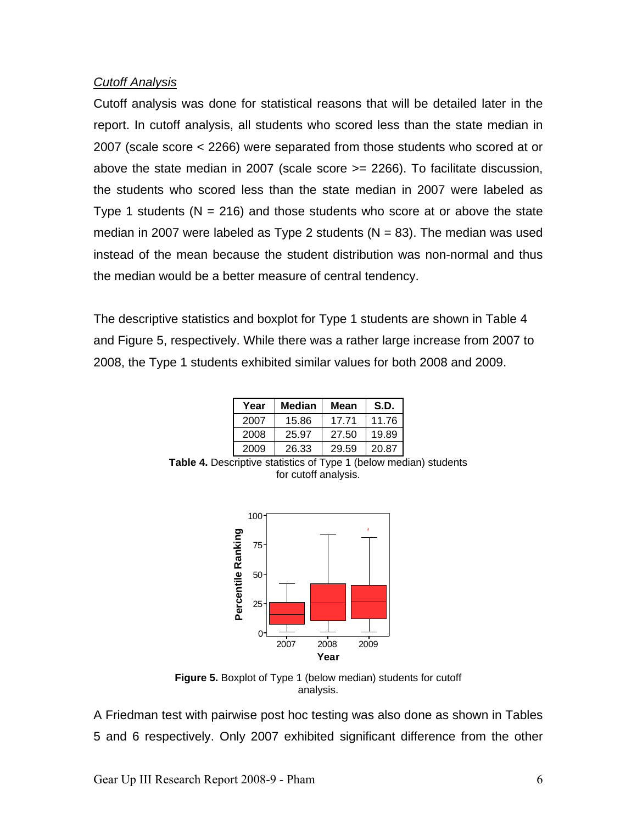## *Cutoff Analysis*

Cutoff analysis was done for statistical reasons that will be detailed later in the report. In cutoff analysis, all students who scored less than the state median in 2007 (scale score < 2266) were separated from those students who scored at or above the state median in 2007 (scale score >= 2266). To facilitate discussion, the students who scored less than the state median in 2007 were labeled as Type 1 students  $(N = 216)$  and those students who score at or above the state median in 2007 were labeled as Type 2 students ( $N = 83$ ). The median was used instead of the mean because the student distribution was non-normal and thus the median would be a better measure of central tendency.

The descriptive statistics and boxplot for Type 1 students are shown in Table 4 and Figure 5, respectively. While there was a rather large increase from 2007 to 2008, the Type 1 students exhibited similar values for both 2008 and 2009.

| Year | Median | Mean  | S.D.  |
|------|--------|-------|-------|
| 2007 | 15.86  | 17.71 | 11.76 |
| 2008 | 25.97  | 27.50 | 19.89 |
| 2009 | 26.33  | 29.59 | 20.87 |

**Table 4.** Descriptive statistics of Type 1 (below median) students for cutoff analysis.



**Figure 5.** Boxplot of Type 1 (below median) students for cutoff analysis.

A Friedman test with pairwise post hoc testing was also done as shown in Tables 5 and 6 respectively. Only 2007 exhibited significant difference from the other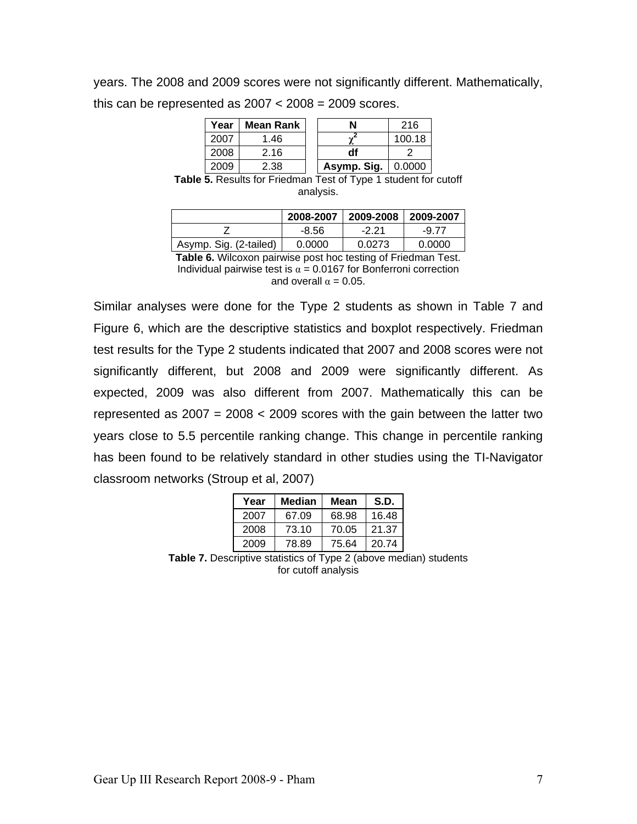years. The 2008 and 2009 scores were not significantly different. Mathematically, this can be represented as  $2007 < 2008 = 2009$  scores.

| Year | Mean Rank | N           | 216    |
|------|-----------|-------------|--------|
| 2007 | 1.46      |             | 100.18 |
| 2008 | 2.16      | df          |        |
| 2009 | 2.38      | Asymp. Sig. | 0.0000 |

**Table 5.** Results for Friedman Test of Type 1 student for cutoff analysis.

|                        | 2008-2007 | 2009-2008 | $ 2009-2007$ |
|------------------------|-----------|-----------|--------------|
|                        | $-8.56$   | $-2.21$   | $-9.77$      |
| Asymp. Sig. (2-tailed) | 0.0000    | 0.0273    | 0.0000       |

**Table 6.** Wilcoxon pairwise post hoc testing of Friedman Test. Individual pairwise test is  $\alpha = 0.0167$  for Bonferroni correction and overall  $\alpha = 0.05$ .

Similar analyses were done for the Type 2 students as shown in Table 7 and Figure 6, which are the descriptive statistics and boxplot respectively. Friedman test results for the Type 2 students indicated that 2007 and 2008 scores were not significantly different, but 2008 and 2009 were significantly different. As expected, 2009 was also different from 2007. Mathematically this can be represented as  $2007 = 2008 < 2009$  scores with the gain between the latter two years close to 5.5 percentile ranking change. This change in percentile ranking has been found to be relatively standard in other studies using the TI-Navigator classroom networks (Stroup et al, 2007)

| Year | Median | Mean  | S.D.  |
|------|--------|-------|-------|
| 2007 | 67.09  | 68.98 | 16.48 |
| 2008 | 73.10  | 70.05 | 21.37 |
| 2009 | 78.89  | 75.64 | 20.74 |

**Table 7.** Descriptive statistics of Type 2 (above median) students for cutoff analysis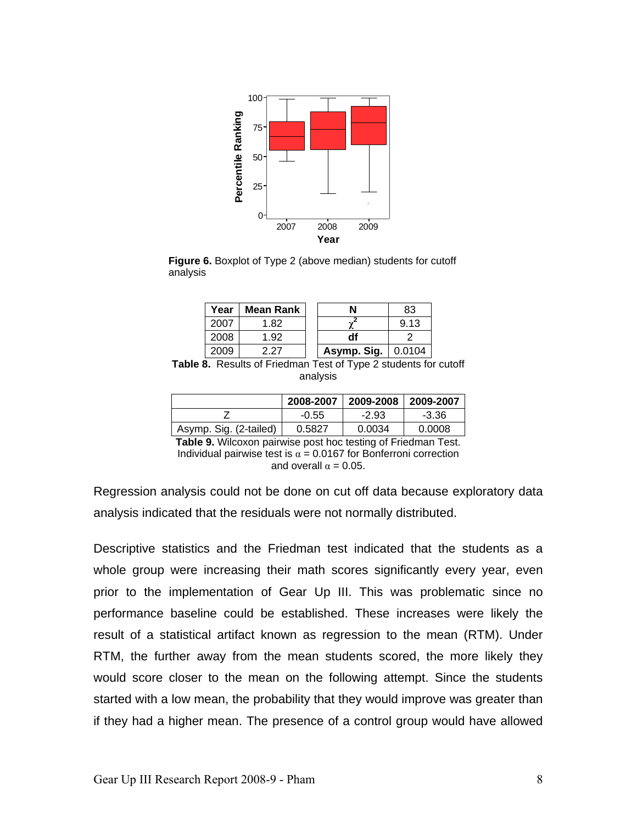

**Figure 6.** Boxplot of Type 2 (above median) students for cutoff analysis

| Year | <b>Mean Rank</b> |             | 83     |
|------|------------------|-------------|--------|
| 2007 | 1.82             |             | 9.13   |
| 2008 | 1.92             |             |        |
| suud | 2 27             | Asymp. Sig. | 0.0104 |

**Table 8.** Results of Friedman Test of Type 2 students for cutoff analysis

|                        | 2008-2007 | 2009-2008 | $\mid$ 2009-2007 |
|------------------------|-----------|-----------|------------------|
|                        | $-0.55$   | $-2.93$   | $-3.36$          |
| Asymp. Sig. (2-tailed) | 0.5827    | 0.0034    | 0.0008           |

**Table 9.** Wilcoxon pairwise post hoc testing of Friedman Test. Individual pairwise test is  $\alpha = 0.0167$  for Bonferroni correction and overall  $\alpha = 0.05$ .

Regression analysis could not be done on cut off data because exploratory data analysis indicated that the residuals were not normally distributed.

Descriptive statistics and the Friedman test indicated that the students as a whole group were increasing their math scores significantly every year, even prior to the implementation of Gear Up III. This was problematic since no performance baseline could be established. These increases were likely the result of a statistical artifact known as regression to the mean (RTM). Under RTM, the further away from the mean students scored, the more likely they would score closer to the mean on the following attempt. Since the students started with a low mean, the probability that they would improve was greater than if they had a higher mean. The presence of a control group would have allowed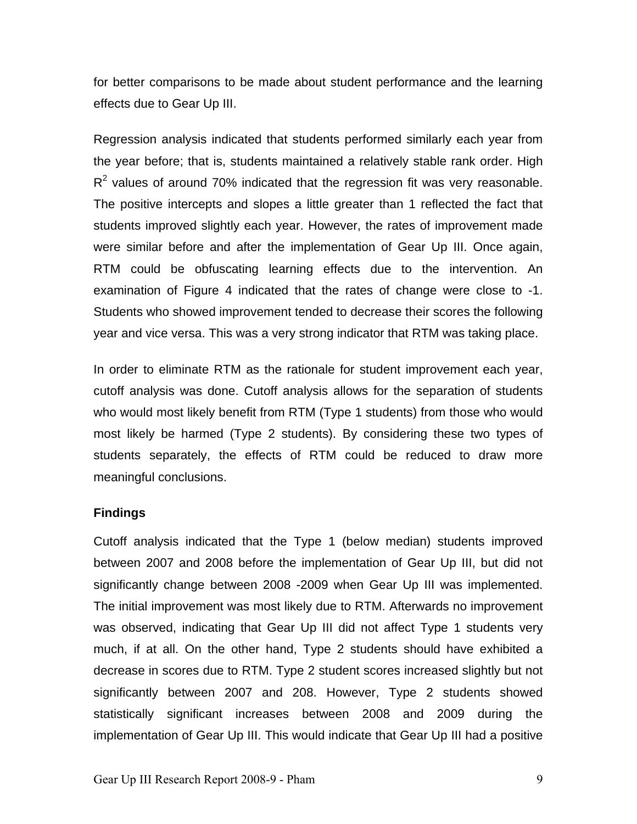for better comparisons to be made about student performance and the learning effects due to Gear Up III.

Regression analysis indicated that students performed similarly each year from the year before; that is, students maintained a relatively stable rank order. High  $R<sup>2</sup>$  values of around 70% indicated that the regression fit was very reasonable. The positive intercepts and slopes a little greater than 1 reflected the fact that students improved slightly each year. However, the rates of improvement made were similar before and after the implementation of Gear Up III. Once again, RTM could be obfuscating learning effects due to the intervention. An examination of Figure 4 indicated that the rates of change were close to -1. Students who showed improvement tended to decrease their scores the following year and vice versa. This was a very strong indicator that RTM was taking place.

In order to eliminate RTM as the rationale for student improvement each year, cutoff analysis was done. Cutoff analysis allows for the separation of students who would most likely benefit from RTM (Type 1 students) from those who would most likely be harmed (Type 2 students). By considering these two types of students separately, the effects of RTM could be reduced to draw more meaningful conclusions.

## **Findings**

Cutoff analysis indicated that the Type 1 (below median) students improved between 2007 and 2008 before the implementation of Gear Up III, but did not significantly change between 2008 -2009 when Gear Up III was implemented. The initial improvement was most likely due to RTM. Afterwards no improvement was observed, indicating that Gear Up III did not affect Type 1 students very much, if at all. On the other hand, Type 2 students should have exhibited a decrease in scores due to RTM. Type 2 student scores increased slightly but not significantly between 2007 and 208. However, Type 2 students showed statistically significant increases between 2008 and 2009 during the implementation of Gear Up III. This would indicate that Gear Up III had a positive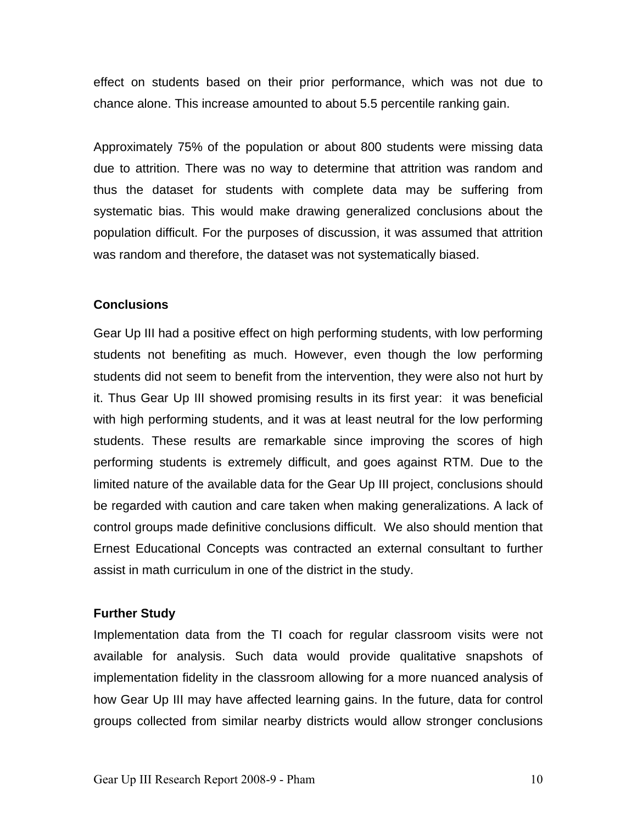effect on students based on their prior performance, which was not due to chance alone. This increase amounted to about 5.5 percentile ranking gain.

Approximately 75% of the population or about 800 students were missing data due to attrition. There was no way to determine that attrition was random and thus the dataset for students with complete data may be suffering from systematic bias. This would make drawing generalized conclusions about the population difficult. For the purposes of discussion, it was assumed that attrition was random and therefore, the dataset was not systematically biased.

## **Conclusions**

Gear Up III had a positive effect on high performing students, with low performing students not benefiting as much. However, even though the low performing students did not seem to benefit from the intervention, they were also not hurt by it. Thus Gear Up III showed promising results in its first year: it was beneficial with high performing students, and it was at least neutral for the low performing students. These results are remarkable since improving the scores of high performing students is extremely difficult, and goes against RTM. Due to the limited nature of the available data for the Gear Up III project, conclusions should be regarded with caution and care taken when making generalizations. A lack of control groups made definitive conclusions difficult. We also should mention that Ernest Educational Concepts was contracted an external consultant to further assist in math curriculum in one of the district in the study.

# **Further Study**

Implementation data from the TI coach for regular classroom visits were not available for analysis. Such data would provide qualitative snapshots of implementation fidelity in the classroom allowing for a more nuanced analysis of how Gear Up III may have affected learning gains. In the future, data for control groups collected from similar nearby districts would allow stronger conclusions